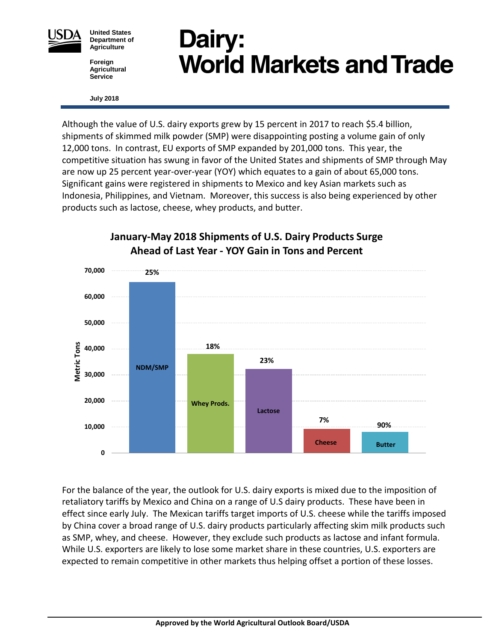

**United States Department of Agriculture**

**Foreign Agricultural Service**

# Dairy: **World Markets and Trade**

#### **July <sup>2018</sup>**

Although the value of U.S. dairy exports grew by 15 percent in 2017 to reach \$5.4 billion, shipments of skimmed milk powder (SMP) were disappointing posting a volume gain of only 12,000 tons. In contrast, EU exports of SMP expanded by 201,000 tons. This year, the competitive situation has swung in favor of the United States and shipments of SMP through May are now up 25 percent year-over-year (YOY) which equates to a gain of about 65,000 tons. Significant gains were registered in shipments to Mexico and key Asian markets such as Indonesia, Philippines, and Vietnam. Moreover, this success is also being experienced by other products such as lactose, cheese, whey products, and butter.



# **January-May 2018 Shipments of U.S. Dairy Products Surge Ahead of Last Year - YOY Gain in Tons and Percent**

For the balance of the year, the outlook for U.S. dairy exports is mixed due to the imposition of retaliatory tariffs by Mexico and China on a range of U.S dairy products. These have been in effect since early July. The Mexican tariffs target imports of U.S. cheese while the tariffs imposed by China cover a broad range of U.S. dairy products particularly affecting skim milk products such as SMP, whey, and cheese. However, they exclude such products as lactose and infant formula. While U.S. exporters are likely to lose some market share in these countries, U.S. exporters are expected to remain competitive in other markets thus helping offset a portion of these losses.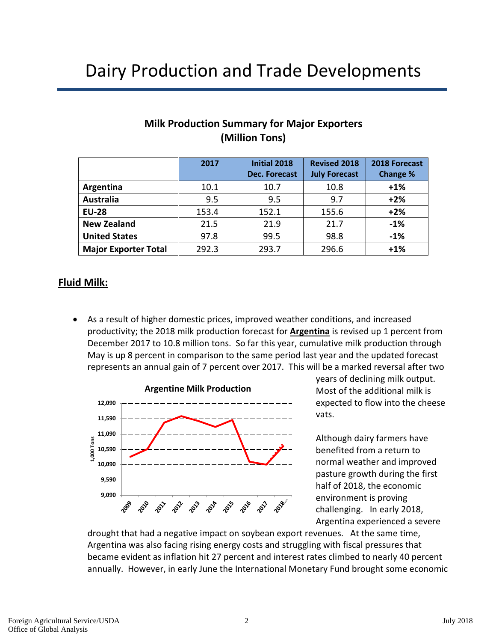|                             | 2017  | <b>Initial 2018</b><br><b>Dec. Forecast</b> | <b>Revised 2018</b><br><b>July Forecast</b> | 2018 Forecast<br>Change % |
|-----------------------------|-------|---------------------------------------------|---------------------------------------------|---------------------------|
| Argentina                   | 10.1  | 10.7                                        | 10.8                                        | $+1%$                     |
| <b>Australia</b>            | 9.5   | 9.5                                         | 9.7                                         | $+2%$                     |
| <b>EU-28</b>                | 153.4 | 152.1                                       | 155.6                                       | $+2%$                     |
| <b>New Zealand</b>          | 21.5  | 21.9                                        | 21.7                                        | $-1%$                     |
| <b>United States</b>        | 97.8  | 99.5                                        | 98.8                                        | $-1%$                     |
| <b>Major Exporter Total</b> | 292.3 | 293.7                                       | 296.6                                       | $+1%$                     |

# **Milk Production Summary for Major Exporters (Million Tons)**

# **Fluid Milk:**

• As a result of higher domestic prices, improved weather conditions, and increased productivity; the 2018 milk production forecast for **Argentina** is revised up 1 percent from December 2017 to 10.8 million tons. So far this year, cumulative milk production through May is up 8 percent in comparison to the same period last year and the updated forecast represents an annual gain of 7 percent over 2017. This will be a marked reversal after two



years of declining milk output. Most of the additional milk is expected to flow into the cheese vats.

Although dairy farmers have benefited from a return to normal weather and improved pasture growth during the first half of 2018, the economic environment is proving challenging. In early 2018, Argentina experienced a severe

drought that had a negative impact on soybean export revenues. At the same time, Argentina was also facing rising energy costs and struggling with fiscal pressures that became evident as inflation hit 27 percent and interest rates climbed to nearly 40 percent annually. However, in early June the International Monetary Fund brought some economic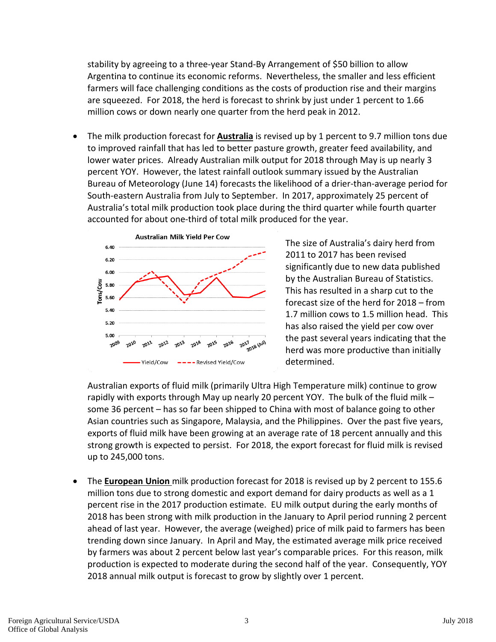stability by agreeing to a three-year Stand-By Arrangement of \$50 billion to allow Argentina to continue its economic reforms. Nevertheless, the smaller and less efficient farmers will face challenging conditions as the costs of production rise and their margins are squeezed. For 2018, the herd is forecast to shrink by just under 1 percent to 1.66 million cows or down nearly one quarter from the herd peak in 2012.

• The milk production forecast for **Australia** is revised up by 1 percent to 9.7 million tons due to improved rainfall that has led to better pasture growth, greater feed availability, and lower water prices. Already Australian milk output for 2018 through May is up nearly 3 percent YOY. However, the latest rainfall outlook summary issued by the Australian Bureau of Meteorology (June 14) forecasts the likelihood of a drier-than-average period for South-eastern Australia from July to September. In 2017, approximately 25 percent of Australia's total milk production took place during the third quarter while fourth quarter accounted for about one-third of total milk produced for the year.



The size of Australia's dairy herd from 2011 to 2017 has been revised significantly due to new data published by the Australian Bureau of Statistics. This has resulted in a sharp cut to the forecast size of the herd for 2018 – from 1.7 million cows to 1.5 million head. This has also raised the yield per cow over the past several years indicating that the herd was more productive than initially determined.

Australian exports of fluid milk (primarily Ultra High Temperature milk) continue to grow rapidly with exports through May up nearly 20 percent YOY. The bulk of the fluid milk  $$ some 36 percent – has so far been shipped to China with most of balance going to other Asian countries such as Singapore, Malaysia, and the Philippines. Over the past five years, exports of fluid milk have been growing at an average rate of 18 percent annually and this strong growth is expected to persist. For 2018, the export forecast for fluid milk is revised up to 245,000 tons.

• The **European Union** milk production forecast for 2018 is revised up by 2 percent to 155.6 million tons due to strong domestic and export demand for dairy products as well as a 1 percent rise in the 2017 production estimate. EU milk output during the early months of 2018 has been strong with milk production in the January to April period running 2 percent ahead of last year. However, the average (weighed) price of milk paid to farmers has been trending down since January. In April and May, the estimated average milk price received by farmers was about 2 percent below last year's comparable prices. For this reason, milk production is expected to moderate during the second half of the year. Consequently, YOY 2018 annual milk output is forecast to grow by slightly over 1 percent.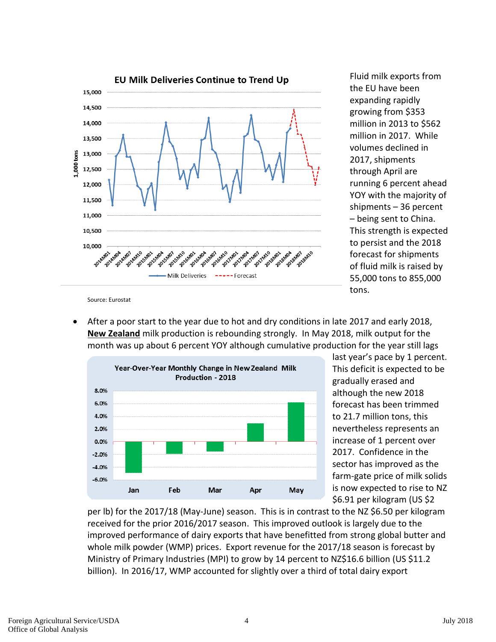

Fluid milk exports from the EU have been expanding rapidly growing from \$353 million in 2013 to \$562 million in 2017. While volumes declined in 2017, shipments through April are running 6 percent ahead YOY with the majority of shipments – 36 percent – being sent to China. This strength is expected to persist and the 2018 forecast for shipments of fluid milk is raised by 55,000 tons to 855,000 tons.

Source: Eurostat

• After a poor start to the year due to hot and dry conditions in late 2017 and early 2018, **New Zealand** milk production is rebounding strongly. In May 2018, milk output for the month was up about 6 percent YOY although cumulative production for the year still lags



last year's pace by 1 percent. This deficit is expected to be gradually erased and although the new 2018 forecast has been trimmed to 21.7 million tons, this nevertheless represents an increase of 1 percent over 2017. Confidence in the sector has improved as the farm-gate price of milk solids is now expected to rise to NZ \$6.91 per kilogram (US \$2

per lb) for the 2017/18 (May-June) season. This is in contrast to the NZ \$6.50 per kilogram received for the prior 2016/2017 season. This improved outlook is largely due to the improved performance of dairy exports that have benefitted from strong global butter and whole milk powder (WMP) prices. Export revenue for the 2017/18 season is forecast by Ministry of Primary Industries (MPI) to grow by 14 percent to NZ\$16.6 billion (US \$11.2 billion). In 2016/17, WMP accounted for slightly over a third of total dairy export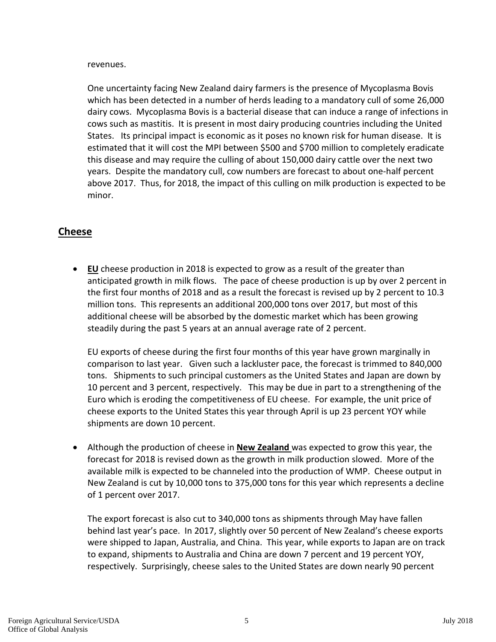## revenues.

One uncertainty facing New Zealand dairy farmers is the presence of Mycoplasma Bovis which has been detected in a number of herds leading to a mandatory cull of some 26,000 dairy cows. Mycoplasma Bovis is a bacterial disease that can induce a range of infections in cows such as mastitis. It is present in most dairy producing countries including the United States. Its principal impact is economic as it poses no known risk for human disease. It is estimated that it will cost the MPI between \$500 and \$700 million to completely eradicate this disease and may require the culling of about 150,000 dairy cattle over the next two years. Despite the mandatory cull, cow numbers are forecast to about one-half percent above 2017. Thus, for 2018, the impact of this culling on milk production is expected to be minor.

# **Cheese**

• **EU** cheese production in 2018 is expected to grow as a result of the greater than anticipated growth in milk flows. The pace of cheese production is up by over 2 percent in the first four months of 2018 and as a result the forecast is revised up by 2 percent to 10.3 million tons. This represents an additional 200,000 tons over 2017, but most of this additional cheese will be absorbed by the domestic market which has been growing steadily during the past 5 years at an annual average rate of 2 percent.

EU exports of cheese during the first four months of this year have grown marginally in comparison to last year. Given such a lackluster pace, the forecast is trimmed to 840,000 tons. Shipments to such principal customers as the United States and Japan are down by 10 percent and 3 percent, respectively. This may be due in part to a strengthening of the Euro which is eroding the competitiveness of EU cheese. For example, the unit price of cheese exports to the United States this year through April is up 23 percent YOY while shipments are down 10 percent.

• Although the production of cheese in **New Zealand** was expected to grow this year, the forecast for 2018 is revised down as the growth in milk production slowed. More of the available milk is expected to be channeled into the production of WMP. Cheese output in New Zealand is cut by 10,000 tons to 375,000 tons for this year which represents a decline of 1 percent over 2017.

The export forecast is also cut to 340,000 tons as shipments through May have fallen behind last year's pace. In 2017, slightly over 50 percent of New Zealand's cheese exports were shipped to Japan, Australia, and China. This year, while exports to Japan are on track to expand, shipments to Australia and China are down 7 percent and 19 percent YOY, respectively. Surprisingly, cheese sales to the United States are down nearly 90 percent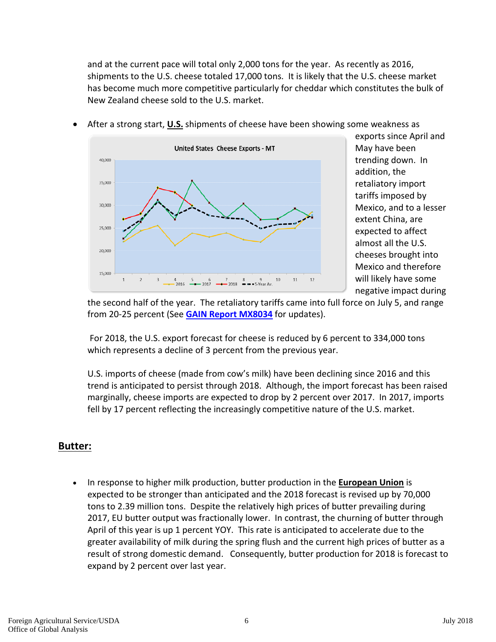and at the current pace will total only 2,000 tons for the year. As recently as 2016, shipments to the U.S. cheese totaled 17,000 tons. It is likely that the U.S. cheese market has become much more competitive particularly for cheddar which constitutes the bulk of New Zealand cheese sold to the U.S. market.



exports since April and May have been trending down. In addition, the retaliatory import tariffs imposed by Mexico, and to a lesser extent China, are expected to affect almost all the U.S. cheeses brought into Mexico and therefore will likely have some negative impact during

the second half of the year. The retaliatory tariffs came into full force on July 5, and range from 20-25 percent (See **[GAIN Report MX8034](https://gain.fas.usda.gov/Recent%20GAIN%20Publications/The%20Phasing%20In%20Of%20Mexican%20Retaliatory%20Tariffs_Mexico_Mexico_7-11-2018.pdf)** for updates).

For 2018, the U.S. export forecast for cheese is reduced by 6 percent to 334,000 tons which represents a decline of 3 percent from the previous year.

U.S. imports of cheese (made from cow's milk) have been declining since 2016 and this trend is anticipated to persist through 2018. Although, the import forecast has been raised marginally, cheese imports are expected to drop by 2 percent over 2017. In 2017, imports fell by 17 percent reflecting the increasingly competitive nature of the U.S. market.

## **Butter:**

• In response to higher milk production, butter production in the **European Union** is expected to be stronger than anticipated and the 2018 forecast is revised up by 70,000 tons to 2.39 million tons. Despite the relatively high prices of butter prevailing during 2017, EU butter output was fractionally lower. In contrast, the churning of butter through April of this year is up 1 percent YOY. This rate is anticipated to accelerate due to the greater availability of milk during the spring flush and the current high prices of butter as a result of strong domestic demand. Consequently, butter production for 2018 is forecast to expand by 2 percent over last year.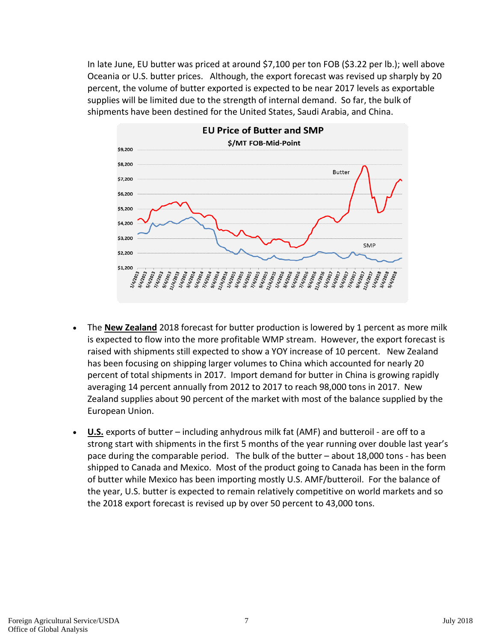In late June, EU butter was priced at around \$7,100 per ton FOB (\$3.22 per lb.); well above Oceania or U.S. butter prices. Although, the export forecast was revised up sharply by 20 percent, the volume of butter exported is expected to be near 2017 levels as exportable supplies will be limited due to the strength of internal demand. So far, the bulk of shipments have been destined for the United States, Saudi Arabia, and China.



- The **New Zealand** 2018 forecast for butter production is lowered by 1 percent as more milk is expected to flow into the more profitable WMP stream. However, the export forecast is raised with shipments still expected to show a YOY increase of 10 percent. New Zealand has been focusing on shipping larger volumes to China which accounted for nearly 20 percent of total shipments in 2017. Import demand for butter in China is growing rapidly averaging 14 percent annually from 2012 to 2017 to reach 98,000 tons in 2017. New Zealand supplies about 90 percent of the market with most of the balance supplied by the European Union.
- **U.S.** exports of butter including anhydrous milk fat (AMF) and butteroil are off to a strong start with shipments in the first 5 months of the year running over double last year's pace during the comparable period. The bulk of the butter – about 18,000 tons - has been shipped to Canada and Mexico. Most of the product going to Canada has been in the form of butter while Mexico has been importing mostly U.S. AMF/butteroil. For the balance of the year, U.S. butter is expected to remain relatively competitive on world markets and so the 2018 export forecast is revised up by over 50 percent to 43,000 tons.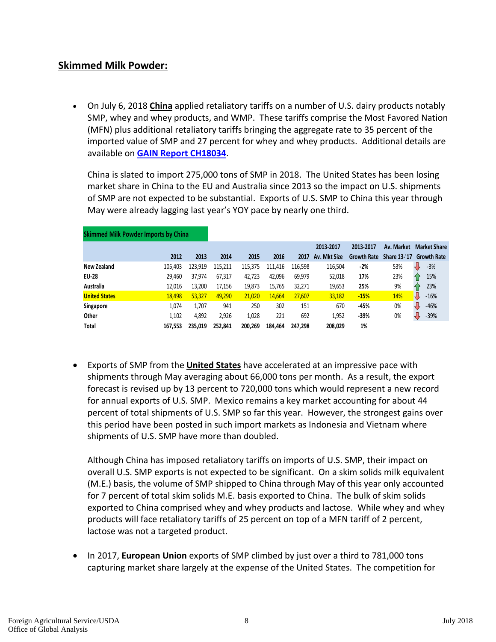# **Skimmed Milk Powder:**

• On July 6, 2018 **China** applied retaliatory tariffs on a number of U.S. dairy products notably SMP, whey and whey products, and WMP. These tariffs comprise the Most Favored Nation (MFN) plus additional retaliatory tariffs bringing the aggregate rate to 35 percent of the imported value of SMP and 27 percent for whey and whey products. Additional details are available on **[GAIN Report CH18034](https://gain.fas.usda.gov/Recent%20GAIN%20Publications/China%20Enacts%20Tariffs%20in%20Response%20to%20U.S.%20301%20Tariffs_Beijing_China%20-%20Peoples%20Republic%20of_7-9-2018.pdf)**.

China is slated to import 275,000 tons of SMP in 2018. The United States has been losing market share in China to the EU and Australia since 2013 so the impact on U.S. shipments of SMP are not expected to be substantial. Exports of U.S. SMP to China this year through May were already lagging last year's YOY pace by nearly one third.

| <b>Skimmed Milk Powder Imports by China</b> |         |         |         |         |         |         |              |                    |                     |    |                     |
|---------------------------------------------|---------|---------|---------|---------|---------|---------|--------------|--------------------|---------------------|----|---------------------|
|                                             |         |         |         |         |         |         | 2013-2017    | 2013-2017          | Av. Market          |    | <b>Market Share</b> |
|                                             | 2012    | 2013    | 2014    | 2015    | 2016    | 2017    | Av. Mkt Size | <b>Growth Rate</b> | <b>Share 13-'17</b> |    | <b>Growth Rate</b>  |
| New Zealand                                 | 105.403 | 123,919 | 115,211 | 115,375 | 111,416 | 116,598 | 116,504      | $-2%$              | 53%                 | J, | $-3%$               |
| EU-28                                       | 29.460  | 37.974  | 67,317  | 42,723  | 42.096  | 69,979  | 52,018       | 17%                | 23%                 | ⇑  | 15%                 |
| Australia                                   | 12,016  | 13,200  | 17,156  | 19,873  | 15,765  | 32,271  | 19,653       | 25%                | 9%                  |    | 23%                 |
| <b>United States</b>                        | 18,498  | 53,327  | 49,290  | 21,020  | 14,664  | 27,607  | 33,182       | $-15%$             | 14%                 | JĻ | $-16%$              |
| Singapore                                   | 1,074   | 1.707   | 941     | 250     | 302     | 151     | 670          | -45%               | 0%                  |    | $-46%$              |
| Other                                       | 1,102   | 4,892   | 2,926   | 1,028   | 221     | 692     | 1,952        | $-39%$             | 0%                  | Л  | $-39%$              |
| <b>Total</b>                                | 167.553 | 235.019 | 252.841 | 200.269 | 184.464 | 247.298 | 208,029      | 1%                 |                     |    |                     |

• Exports of SMP from the **United States** have accelerated at an impressive pace with shipments through May averaging about 66,000 tons per month. As a result, the export forecast is revised up by 13 percent to 720,000 tons which would represent a new record for annual exports of U.S. SMP. Mexico remains a key market accounting for about 44 percent of total shipments of U.S. SMP so far this year. However, the strongest gains over this period have been posted in such import markets as Indonesia and Vietnam where shipments of U.S. SMP have more than doubled.

Although China has imposed retaliatory tariffs on imports of U.S. SMP, their impact on overall U.S. SMP exports is not expected to be significant. On a skim solids milk equivalent (M.E.) basis, the volume of SMP shipped to China through May of this year only accounted for 7 percent of total skim solids M.E. basis exported to China. The bulk of skim solids exported to China comprised whey and whey products and lactose. While whey and whey products will face retaliatory tariffs of 25 percent on top of a MFN tariff of 2 percent, lactose was not a targeted product.

• In 2017, **European Union** exports of SMP climbed by just over a third to 781,000 tons capturing market share largely at the expense of the United States. The competition for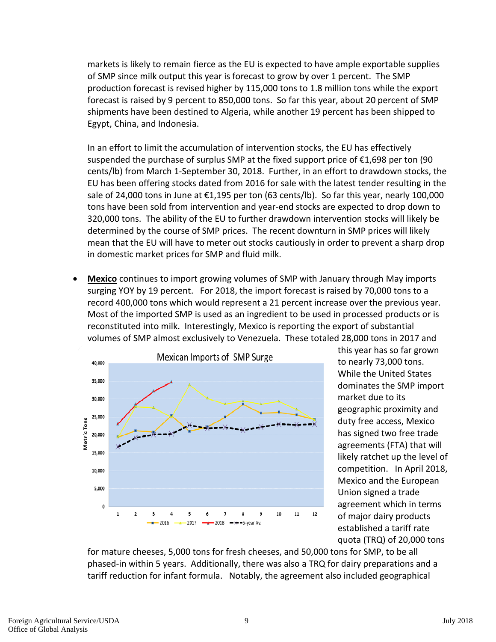markets is likely to remain fierce as the EU is expected to have ample exportable supplies of SMP since milk output this year is forecast to grow by over 1 percent. The SMP production forecast is revised higher by 115,000 tons to 1.8 million tons while the export forecast is raised by 9 percent to 850,000 tons. So far this year, about 20 percent of SMP shipments have been destined to Algeria, while another 19 percent has been shipped to Egypt, China, and Indonesia.

In an effort to limit the accumulation of intervention stocks, the EU has effectively suspended the purchase of surplus SMP at the fixed support price of €1,698 per ton (90 cents/lb) from March 1-September 30, 2018. Further, in an effort to drawdown stocks, the EU has been offering stocks dated from 2016 for sale with the latest tender resulting in the sale of 24,000 tons in June at €1,195 per ton (63 cents/lb). So far this year, nearly 100,000 tons have been sold from intervention and year-end stocks are expected to drop down to 320,000 tons. The ability of the EU to further drawdown intervention stocks will likely be determined by the course of SMP prices. The recent downturn in SMP prices will likely mean that the EU will have to meter out stocks cautiously in order to prevent a sharp drop in domestic market prices for SMP and fluid milk.

• **Mexico** continues to import growing volumes of SMP with January through May imports surging YOY by 19 percent. For 2018, the import forecast is raised by 70,000 tons to a record 400,000 tons which would represent a 21 percent increase over the previous year. Most of the imported SMP is used as an ingredient to be used in processed products or is reconstituted into milk. Interestingly, Mexico is reporting the export of substantial volumes of SMP almost exclusively to Venezuela. These totaled 28,000 tons in 2017 and



this year has so far grown to nearly 73,000 tons. While the United States dominates the SMP import market due to its geographic proximity and duty free access, Mexico has signed two free trade agreements (FTA) that will likely ratchet up the level of competition. In April 2018, Mexico and the European Union signed a trade agreement which in terms of major dairy products established a tariff rate quota (TRQ) of 20,000 tons

for mature cheeses, 5,000 tons for fresh cheeses, and 50,000 tons for SMP, to be all phased-in within 5 years. Additionally, there was also a TRQ for dairy preparations and a tariff reduction for infant formula. Notably, the agreement also included geographical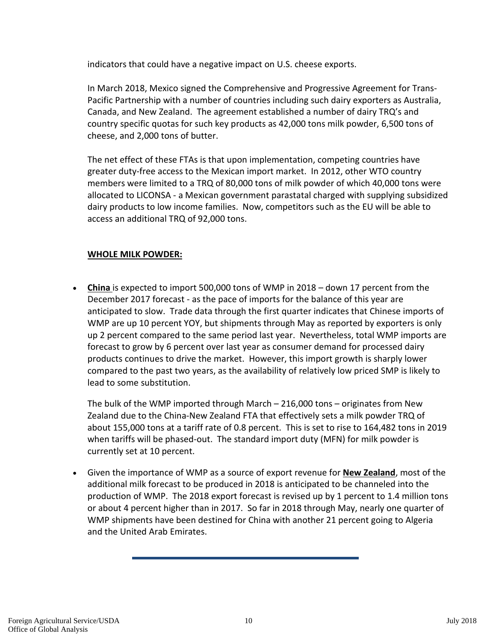indicators that could have a negative impact on U.S. cheese exports.

In March 2018, Mexico signed the Comprehensive and Progressive Agreement for Trans-Pacific Partnership with a number of countries including such dairy exporters as Australia, Canada, and New Zealand. The agreement established a number of dairy TRQ's and country specific quotas for such key products as 42,000 tons milk powder, 6,500 tons of cheese, and 2,000 tons of butter.

The net effect of these FTAs is that upon implementation, competing countries have greater duty-free access to the Mexican import market. In 2012, other WTO country members were limited to a TRQ of 80,000 tons of milk powder of which 40,000 tons were allocated to LICONSA - a Mexican government parastatal charged with supplying subsidized dairy products to low income families. Now, competitors such as the EU will be able to access an additional TRQ of 92,000 tons.

## **WHOLE MILK POWDER:**

• **China** is expected to import 500,000 tons of WMP in 2018 – down 17 percent from the December 2017 forecast - as the pace of imports for the balance of this year are anticipated to slow. Trade data through the first quarter indicates that Chinese imports of WMP are up 10 percent YOY, but shipments through May as reported by exporters is only up 2 percent compared to the same period last year. Nevertheless, total WMP imports are forecast to grow by 6 percent over last year as consumer demand for processed dairy products continues to drive the market. However, this import growth is sharply lower compared to the past two years, as the availability of relatively low priced SMP is likely to lead to some substitution.

The bulk of the WMP imported through March – 216,000 tons – originates from New Zealand due to the China-New Zealand FTA that effectively sets a milk powder TRQ of about 155,000 tons at a tariff rate of 0.8 percent. This is set to rise to 164,482 tons in 2019 when tariffs will be phased-out. The standard import duty (MFN) for milk powder is currently set at 10 percent.

• Given the importance of WMP as a source of export revenue for **New Zealand**, most of the additional milk forecast to be produced in 2018 is anticipated to be channeled into the production of WMP. The 2018 export forecast is revised up by 1 percent to 1.4 million tons or about 4 percent higher than in 2017. So far in 2018 through May, nearly one quarter of WMP shipments have been destined for China with another 21 percent going to Algeria and the United Arab Emirates.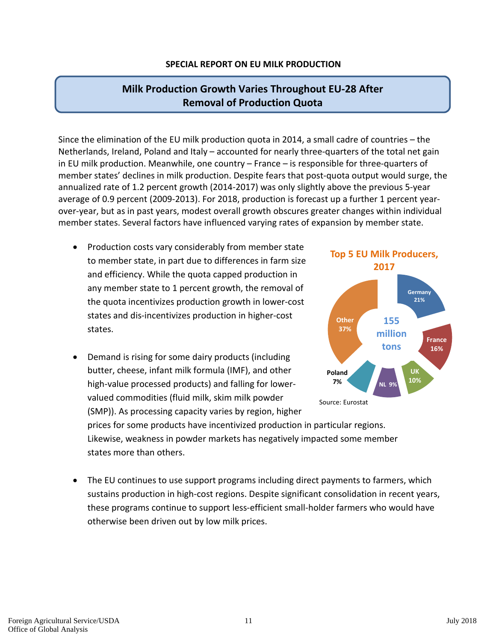## **SPECIAL REPORT ON EU MILK PRODUCTION**

# **Milk Production Growth Varies Throughout EU-28 After Removal of Production Quota**

Since the elimination of the EU milk production quota in 2014, a small cadre of countries – the Netherlands, Ireland, Poland and Italy – accounted for nearly three-quarters of the total net gain in EU milk production. Meanwhile, one country – France – is responsible for three-quarters of member states' declines in milk production. Despite fears that post-quota output would surge, the annualized rate of 1.2 percent growth (2014-2017) was only slightly above the previous 5-year average of 0.9 percent (2009-2013). For 2018, production is forecast up a further 1 percent yearover-year, but as in past years, modest overall growth obscures greater changes within individual member states. Several factors have influenced varying rates of expansion by member state.

- Production costs vary considerably from member state to member state, in part due to differences in farm size and efficiency. While the quota capped production in any member state to 1 percent growth, the removal of the quota incentivizes production growth in lower-cost states and dis-incentivizes production in higher-cost states.
- Demand is rising for some dairy products (including butter, cheese, infant milk formula (IMF), and other high-value processed products) and falling for lowervalued commodities (fluid milk, skim milk powder (SMP)). As processing capacity varies by region, higher



prices for some products have incentivized production in particular regions. Likewise, weakness in powder markets has negatively impacted some member states more than others.

• The EU continues to use support programs including direct payments to farmers, which sustains production in high-cost regions. Despite significant consolidation in recent years, these programs continue to support less-efficient small-holder farmers who would have otherwise been driven out by low milk prices.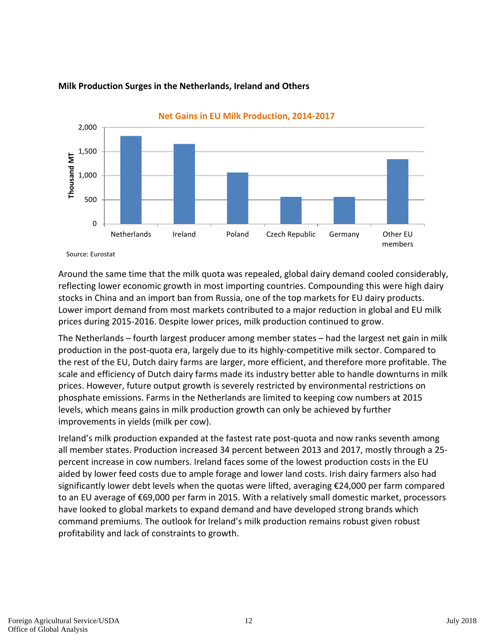

## **Milk Production Surges in the Netherlands, Ireland and Others**

Around the same time that the milk quota was repealed, global dairy demand cooled considerably, reflecting lower economic growth in most importing countries. Compounding this were high dairy stocks in China and an import ban from Russia, one of the top markets for EU dairy products. Lower import demand from most markets contributed to a major reduction in global and EU milk prices during 2015-2016. Despite lower prices, milk production continued to grow.

The Netherlands – fourth largest producer among member states – had the largest net gain in milk production in the post-quota era, largely due to its highly-competitive milk sector. Compared to the rest of the EU, Dutch dairy farms are larger, more efficient, and therefore more profitable. The scale and efficiency of Dutch dairy farms made its industry better able to handle downturns in milk prices. However, future output growth is severely restricted by environmental restrictions on phosphate emissions. Farms in the Netherlands are limited to keeping cow numbers at 2015 levels, which means gains in milk production growth can only be achieved by further improvements in yields (milk per cow).

Ireland's milk production expanded at the fastest rate post-quota and now ranks seventh among all member states. Production increased 34 percent between 2013 and 2017, mostly through a 25 percent increase in cow numbers. Ireland faces some of the lowest production costs in the EU aided by lower feed costs due to ample forage and lower land costs. Irish dairy farmers also had significantly lower debt levels when the quotas were lifted, averaging €24,000 per farm compared to an EU average of €69,000 per farm in 2015. With a relatively small domestic market, processors have looked to global markets to expand demand and have developed strong brands which command premiums. The outlook for Ireland's milk production remains robust given robust profitability and lack of constraints to growth.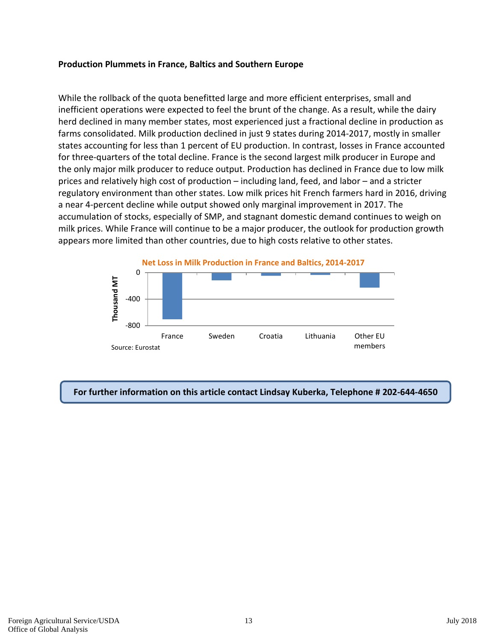## **Production Plummets in France, Baltics and Southern Europe**

While the rollback of the quota benefitted large and more efficient enterprises, small and inefficient operations were expected to feel the brunt of the change. As a result, while the dairy herd declined in many member states, most experienced just a fractional decline in production as farms consolidated. Milk production declined in just 9 states during 2014-2017, mostly in smaller states accounting for less than 1 percent of EU production. In contrast, losses in France accounted for three-quarters of the total decline. France is the second largest milk producer in Europe and the only major milk producer to reduce output. Production has declined in France due to low milk prices and relatively high cost of production – including land, feed, and labor – and a stricter regulatory environment than other states. Low milk prices hit French farmers hard in 2016, driving a near 4-percent decline while output showed only marginal improvement in 2017. The accumulation of stocks, especially of SMP, and stagnant domestic demand continues to weigh on milk prices. While France will continue to be a major producer, the outlook for production growth appears more limited than other countries, due to high costs relative to other states.



## **For further information on this article contact Lindsay Kuberka, Telephone # 202-644-4650**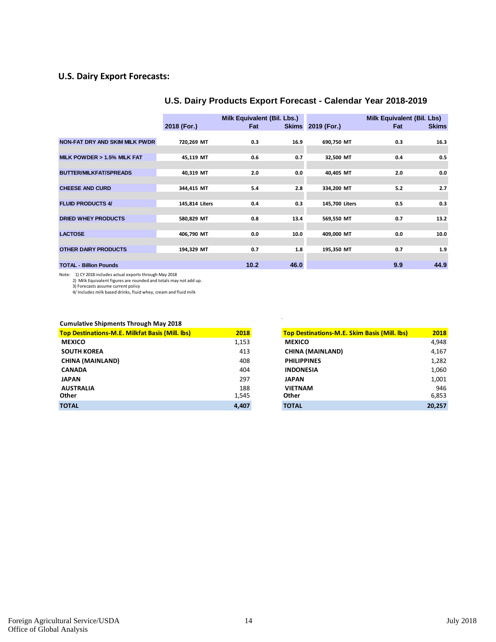## **U.S. Dairy Export Forecasts:**

|                                |                | Milk Equivalent (Bil. Lbs.) |      |                          | Milk Equivalent (Bil. Lbs) |              |
|--------------------------------|----------------|-----------------------------|------|--------------------------|----------------------------|--------------|
|                                | 2018 (For.)    | Fat                         |      | <b>Skims</b> 2019 (For.) | Fat                        | <b>Skims</b> |
|                                |                |                             |      |                          |                            |              |
| NON-FAT DRY AND SKIM MILK PWDR | 720,269 MT     | 0.3                         | 16.9 | 690,750 MT               | 0.3                        | 16.3         |
|                                |                |                             |      |                          |                            |              |
| MILK POWDER > 1.5% MILK FAT    | 45,119 MT      | 0.6                         | 0.7  | 32,500 MT                | 0.4                        | 0.5          |
|                                |                |                             |      |                          |                            |              |
| <b>BUTTER/MILKFAT/SPREADS</b>  | 40,319 MT      | 2.0                         | 0.0  | 40,405 MT                | 2.0                        | 0.0          |
|                                |                |                             |      |                          |                            |              |
| <b>CHEESE AND CURD</b>         | 344,415 MT     | 5.4                         | 2.8  | 334,200 MT               | 5.2                        | 2.7          |
|                                |                |                             |      |                          |                            |              |
| <b>FLUID PRODUCTS 4/</b>       | 145,814 Liters | 0.4                         | 0.3  | 145,700 Liters           | 0.5                        | 0.3          |
|                                |                |                             |      |                          |                            |              |
| <b>DRIED WHEY PRODUCTS</b>     | 580,829 MT     | 0.8                         | 13.4 | 569,550 MT               | 0.7                        | 13.2         |
|                                |                |                             |      |                          |                            |              |
| <b>LACTOSE</b>                 | 406,790 MT     | 0.0                         | 10.0 | 409,000 MT               | 0.0                        | 10.0         |
|                                |                |                             |      |                          |                            |              |
| <b>OTHER DAIRY PRODUCTS</b>    | 194,329 MT     | 0.7                         | 1.8  | 195,350 MT               | 0.7                        | 1.9          |
|                                |                |                             |      |                          |                            |              |
| <b>TOTAL - Billion Pounds</b>  |                | 10.2                        | 46.0 |                          | 9.9                        | 44.9         |
|                                |                |                             |      |                          |                            |              |

### **U.S. Dairy Products Export Forecast - Calendar Year 2018-2019**

Note: 1) CY 2018 includes actual exports through May 2018 2) Milk Equivalent figures are rounded and totals may not add up.

3) Forecasts assume current policy 4/ Includes milk based drinks, fluid whey, cream and fluid milk

#### **Cumulative Shipments Through May 2018**

| <b>Top Destinations-M.E. Milkfat Basis (Mill. lbs)</b> | 2018  | <b>Top Destinations-M.E. Skim Basis (Mill. lbs)</b> | 2018   |
|--------------------------------------------------------|-------|-----------------------------------------------------|--------|
| <b>MEXICO</b>                                          | 1,153 | <b>MEXICO</b>                                       | 4.948  |
| <b>SOUTH KOREA</b>                                     | 413   | <b>CHINA (MAINLAND)</b>                             | 4.167  |
| <b>CHINA (MAINLAND)</b>                                | 408   | <b>PHILIPPINES</b>                                  | 1,282  |
| <b>CANADA</b>                                          | 404   | <b>INDONESIA</b>                                    | 1,060  |
| <b>JAPAN</b>                                           | 297   | <b>JAPAN</b>                                        | 1,001  |
| <b>AUSTRALIA</b>                                       | 188   | <b>VIETNAM</b>                                      | 946    |
| Other                                                  | 1.545 | Other                                               | 6.853  |
| <b>TOTAL</b>                                           | 4.407 | <b>TOTAL</b>                                        | 20.257 |

| <b>Top Destinations-M.E. Skim Basis (Mill. lbs)</b> | 2018   |
|-----------------------------------------------------|--------|
| <b>MEXICO</b>                                       | 4,948  |
| <b>CHINA (MAINLAND)</b>                             | 4,167  |
| <b>PHILIPPINES</b>                                  | 1,282  |
| <b>INDONESIA</b>                                    | 1,060  |
| <b>JAPAN</b>                                        | 1,001  |
| <b>VIETNAM</b>                                      | 946    |
| Other                                               | 6,853  |
| <b>TOTAL</b>                                        | 20,257 |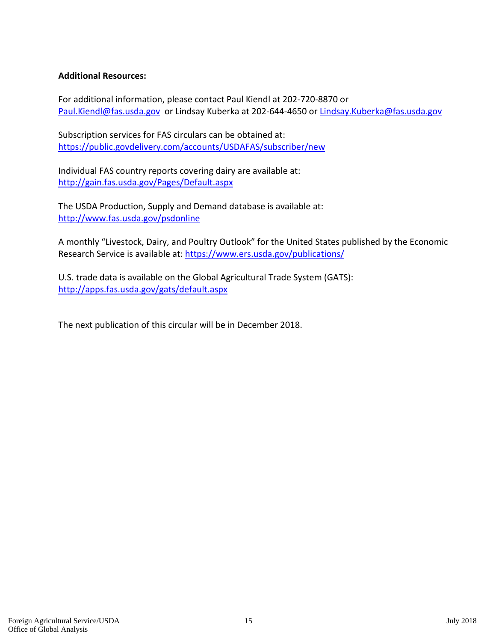## **Additional Resources:**

For additional information, please contact Paul Kiendl at 202-720-8870 or [Paul.Kiendl@fas.usda.gov](mailto:Paul.Kiendl@fas.usda.gov) or Lindsay Kuberka at 202-644-4650 or [Lindsay.Kuberka@fas.usda.gov](mailto:Lindsay.Kuberka@fas.usda.gov)

Subscription services for FAS circulars can be obtained at: <https://public.govdelivery.com/accounts/USDAFAS/subscriber/new>

Individual FAS country reports covering dairy are available at: <http://gain.fas.usda.gov/Pages/Default.aspx>

The USDA Production, Supply and Demand database is available at: <http://www.fas.usda.gov/psdonline>

A monthly "Livestock, Dairy, and Poultry Outlook" for the United States published by the Economic Research Service is available at: <https://www.ers.usda.gov/publications/>

U.S. trade data is available on the Global Agricultural Trade System (GATS): <http://apps.fas.usda.gov/gats/default.aspx>

The next publication of this circular will be in December 2018.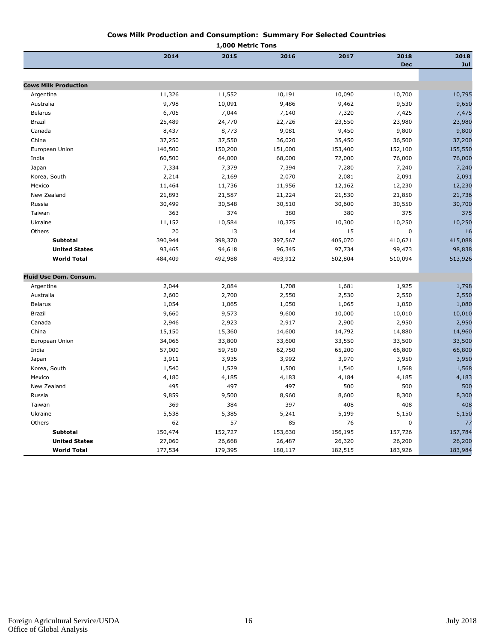#### **Cows Milk Production and Consumption: Summary For Selected Countries**

|                             |         | 1,000 Metric Tons |         |         |                    |             |
|-----------------------------|---------|-------------------|---------|---------|--------------------|-------------|
|                             | 2014    | 2015              | 2016    | 2017    | 2018<br><b>Dec</b> | 2018<br>Jul |
|                             |         |                   |         |         |                    |             |
| <b>Cows Milk Production</b> |         |                   |         |         |                    |             |
| Argentina                   | 11,326  | 11,552            | 10,191  | 10,090  | 10,700             | 10,795      |
| Australia                   | 9,798   | 10,091            | 9,486   | 9,462   | 9,530              | 9,650       |
| <b>Belarus</b>              | 6,705   | 7,044             | 7,140   | 7,320   | 7,425              | 7,475       |
| Brazil                      | 25,489  | 24,770            | 22,726  | 23,550  | 23,980             | 23,980      |
| Canada                      | 8,437   | 8,773             | 9,081   | 9,450   | 9,800              | 9,800       |
| China                       | 37,250  | 37,550            | 36,020  | 35,450  | 36,500             | 37,200      |
| European Union              | 146,500 | 150,200           | 151,000 | 153,400 | 152,100            | 155,550     |
| India                       | 60,500  | 64,000            | 68,000  | 72,000  | 76,000             | 76,000      |
| Japan                       | 7,334   | 7,379             | 7,394   | 7,280   | 7,240              | 7,240       |
| Korea, South                | 2,214   | 2,169             | 2,070   | 2,081   | 2,091              | 2,091       |
| Mexico                      | 11,464  | 11,736            | 11,956  | 12,162  | 12,230             | 12,230      |
| New Zealand                 | 21,893  | 21,587            | 21,224  | 21,530  | 21,850             | 21,736      |
| Russia                      | 30,499  | 30,548            | 30,510  | 30,600  | 30,550             | 30,700      |
| Taiwan                      | 363     | 374               | 380     | 380     | 375                | 375         |
| Ukraine                     | 11,152  | 10,584            | 10,375  | 10,300  | 10,250             | 10,250      |
| Others                      | 20      | 13                | 14      | 15      | $\mathbf 0$        | 16          |
| <b>Subtotal</b>             | 390,944 | 398,370           | 397,567 | 405,070 | 410,621            | 415,088     |
| <b>United States</b>        | 93,465  | 94,618            | 96,345  | 97,734  | 99,473             | 98,838      |
| <b>World Total</b>          | 484,409 | 492,988           | 493,912 | 502,804 | 510,094            | 513,926     |
| Fluid Use Dom. Consum.      |         |                   |         |         |                    |             |
| Argentina                   | 2,044   | 2,084             | 1,708   | 1,681   | 1,925              | 1,798       |
| Australia                   | 2,600   | 2,700             | 2,550   | 2,530   | 2,550              | 2,550       |
| <b>Belarus</b>              | 1,054   | 1,065             | 1,050   | 1,065   | 1,050              | 1,080       |
| Brazil                      | 9,660   | 9,573             | 9,600   | 10,000  | 10,010             | 10,010      |
| Canada                      | 2,946   | 2,923             | 2,917   | 2,900   | 2,950              | 2,950       |
| China                       | 15,150  | 15,360            | 14,600  | 14,792  | 14,880             | 14,960      |
| European Union              | 34,066  | 33,800            | 33,600  | 33,550  | 33,500             | 33,500      |
| India                       | 57,000  | 59,750            | 62,750  | 65,200  | 66,800             | 66,800      |
| Japan                       | 3,911   | 3,935             | 3,992   | 3,970   | 3,950              | 3,950       |
| Korea, South                | 1,540   | 1,529             | 1,500   | 1,540   | 1,568              | 1,568       |
| Mexico                      | 4,180   | 4,185             | 4,183   | 4,184   | 4,185              | 4,183       |
| New Zealand                 | 495     | 497               | 497     | 500     | 500                | 500         |
| Russia                      | 9,859   | 9,500             | 8,960   | 8,600   | 8,300              | 8,300       |
| Taiwan                      | 369     | 384               | 397     | 408     | 408                | 408         |
| Ukraine                     | 5,538   | 5,385             | 5,241   | 5,199   | 5,150              | 5,150       |
| Others                      | 62      | 57                | 85      | 76      | $\pmb{0}$          | 77          |
| <b>Subtotal</b>             | 150,474 | 152,727           | 153,630 | 156,195 | 157,726            | 157,784     |
| <b>United States</b>        | 27,060  | 26,668            | 26,487  | 26,320  | 26,200             | 26,200      |
| <b>World Total</b>          | 177,534 | 179,395           | 180,117 | 182,515 | 183,926            | 183,984     |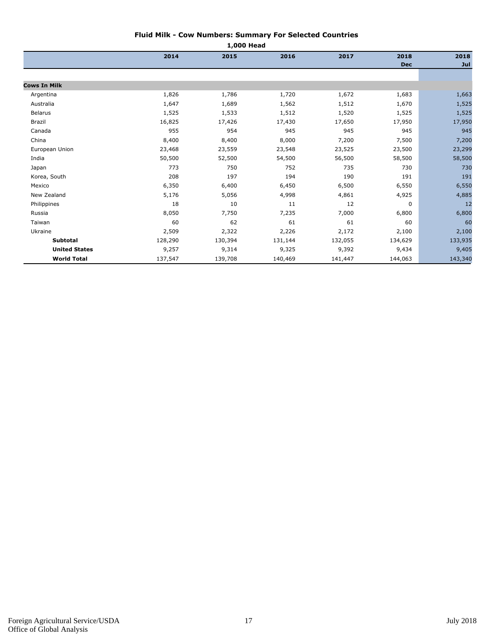#### **Fluid Milk - Cow Numbers: Summary For Selected Countries**

| 1,000 Head           |         |         |         |         |             |         |
|----------------------|---------|---------|---------|---------|-------------|---------|
|                      | 2014    | 2015    | 2016    | 2017    | 2018        | 2018    |
|                      |         |         |         |         | <b>Dec</b>  | Jul     |
|                      |         |         |         |         |             |         |
| <b>Cows In Milk</b>  |         |         |         |         |             |         |
| Argentina            | 1,826   | 1,786   | 1,720   | 1,672   | 1,683       | 1,663   |
| Australia            | 1,647   | 1,689   | 1,562   | 1,512   | 1,670       | 1,525   |
| <b>Belarus</b>       | 1,525   | 1,533   | 1,512   | 1,520   | 1,525       | 1,525   |
| Brazil               | 16,825  | 17,426  | 17,430  | 17,650  | 17,950      | 17,950  |
| Canada               | 955     | 954     | 945     | 945     | 945         | 945     |
| China                | 8,400   | 8,400   | 8,000   | 7,200   | 7,500       | 7,200   |
| European Union       | 23,468  | 23,559  | 23,548  | 23,525  | 23,500      | 23,299  |
| India                | 50,500  | 52,500  | 54,500  | 56,500  | 58,500      | 58,500  |
| Japan                | 773     | 750     | 752     | 735     | 730         | 730     |
| Korea, South         | 208     | 197     | 194     | 190     | 191         | 191     |
| Mexico               | 6,350   | 6,400   | 6,450   | 6,500   | 6,550       | 6,550   |
| New Zealand          | 5,176   | 5,056   | 4,998   | 4,861   | 4,925       | 4,885   |
| Philippines          | 18      | 10      | 11      | 12      | $\mathbf 0$ | 12      |
| Russia               | 8,050   | 7,750   | 7,235   | 7,000   | 6,800       | 6,800   |
| Taiwan               | 60      | 62      | 61      | 61      | 60          | 60      |
| Ukraine              | 2,509   | 2,322   | 2,226   | 2,172   | 2,100       | 2,100   |
| <b>Subtotal</b>      | 128,290 | 130,394 | 131,144 | 132,055 | 134,629     | 133,935 |
| <b>United States</b> | 9,257   | 9,314   | 9,325   | 9,392   | 9,434       | 9,405   |
| <b>World Total</b>   | 137,547 | 139,708 | 140,469 | 141,447 | 144,063     | 143,340 |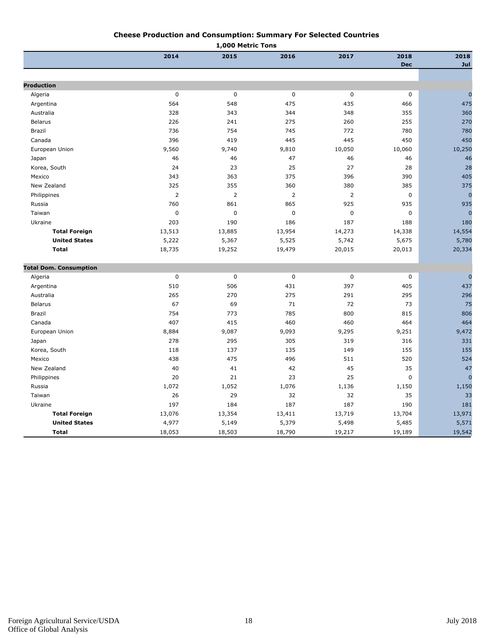#### **Cheese Production and Consumption: Summary For Selected Countries**

|                               |                | 1,000 Metric Tons |                |                |            |                |
|-------------------------------|----------------|-------------------|----------------|----------------|------------|----------------|
|                               | 2014           | 2015              | 2016           | 2017           | 2018       | 2018           |
|                               |                |                   |                |                | <b>Dec</b> | Jul            |
|                               |                |                   |                |                |            |                |
| <b>Production</b>             |                |                   |                |                |            |                |
| Algeria                       | $\pmb{0}$      | $\pmb{0}$         | $\pmb{0}$      | $\pmb{0}$      | 0          | $\mathfrak{c}$ |
| Argentina                     | 564            | 548               | 475            | 435            | 466        | 475            |
| Australia                     | 328            | 343               | 344            | 348            | 355        | 360            |
| <b>Belarus</b>                | 226            | 241               | 275            | 260            | 255        | 270            |
| Brazil                        | 736            | 754               | 745            | 772            | 780        | 780            |
| Canada                        | 396            | 419               | 445            | 445            | 450        | 450            |
| European Union                | 9,560          | 9,740             | 9,810          | 10,050         | 10,060     | 10,250         |
| Japan                         | 46             | 46                | 47             | 46             | 46         | 46             |
| Korea, South                  | 24             | 23                | 25             | 27             | 28         | 28             |
| Mexico                        | 343            | 363               | 375            | 396            | 390        | 405            |
| New Zealand                   | 325            | 355               | 360            | 380            | 385        | 375            |
| Philippines                   | $\overline{2}$ | $\overline{2}$    | $\overline{2}$ | $\overline{2}$ | $\pmb{0}$  | $\overline{0}$ |
| Russia                        | 760            | 861               | 865            | 925            | 935        | 935            |
| Taiwan                        | $\pmb{0}$      | $\pmb{0}$         | $\pmb{0}$      | $\pmb{0}$      | $\pmb{0}$  | $\overline{0}$ |
| Ukraine                       | 203            | 190               | 186            | 187            | 188        | 180            |
| <b>Total Foreign</b>          | 13,513         | 13,885            | 13,954         | 14,273         | 14,338     | 14,554         |
| <b>United States</b>          | 5,222          | 5,367             | 5,525          | 5,742          | 5,675      | 5,780          |
| <b>Total</b>                  | 18,735         | 19,252            | 19,479         | 20,015         | 20,013     | 20,334         |
| <b>Total Dom. Consumption</b> |                |                   |                |                |            |                |
| Algeria                       | $\pmb{0}$      | $\pmb{0}$         | $\pmb{0}$      | $\pmb{0}$      | $\pmb{0}$  | $\mathsf{C}$   |
| Argentina                     | 510            | 506               | 431            | 397            | 405        | 437            |
| Australia                     | 265            | 270               | 275            | 291            | 295        | 296            |
| <b>Belarus</b>                | 67             | 69                | 71             | 72             | 73         | 75             |
| Brazil                        | 754            | 773               | 785            | 800            | 815        | 806            |
| Canada                        | 407            | 415               | 460            | 460            | 464        | 464            |
| European Union                | 8,884          | 9,087             | 9,093          | 9,295          | 9,251      | 9,472          |
| Japan                         | 278            | 295               | 305            | 319            | 316        | 331            |
| Korea, South                  | 118            | 137               | 135            | 149            | 155        | 155            |
| Mexico                        | 438            | 475               | 496            | 511            | 520        | 524            |
| New Zealand                   | 40             | 41                | 42             | 45             | 35         | 47             |
| Philippines                   | 20             | 21                | 23             | 25             | $\pmb{0}$  | $\overline{0}$ |
| Russia                        | 1,072          | 1,052             | 1,076          | 1,136          | 1,150      | 1,150          |
| Taiwan                        | 26             | 29                | 32             | 32             | 35         | 33             |
| Ukraine                       | 197            | 184               | 187            | 187            | 190        | 181            |
| <b>Total Foreign</b>          | 13,076         | 13,354            | 13,411         | 13,719         | 13,704     | 13,971         |
| <b>United States</b>          | 4,977          | 5,149             | 5,379          | 5,498          | 5,485      | 5,571          |
| <b>Total</b>                  | 18,053         | 18,503            | 18,790         | 19,217         | 19,189     | 19,542         |
|                               |                |                   |                |                |            |                |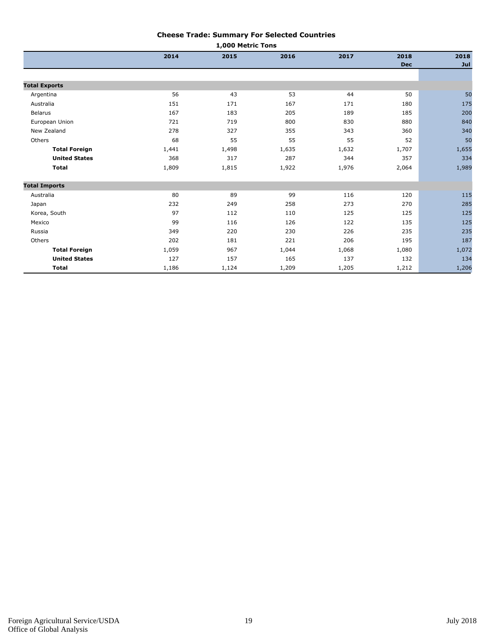#### **Cheese Trade: Summary For Selected Countries**

| 1,000 Metric Tons    |       |       |       |       |            |       |
|----------------------|-------|-------|-------|-------|------------|-------|
|                      | 2014  | 2015  | 2016  | 2017  | 2018       | 2018  |
|                      |       |       |       |       | <b>Dec</b> | Jul   |
|                      |       |       |       |       |            |       |
| <b>Total Exports</b> |       |       |       |       |            |       |
| Argentina            | 56    | 43    | 53    | 44    | 50         | 50    |
| Australia            | 151   | 171   | 167   | 171   | 180        | 175   |
| <b>Belarus</b>       | 167   | 183   | 205   | 189   | 185        | 200   |
| European Union       | 721   | 719   | 800   | 830   | 880        | 840   |
| New Zealand          | 278   | 327   | 355   | 343   | 360        | 340   |
| Others               | 68    | 55    | 55    | 55    | 52         | 50    |
| <b>Total Foreign</b> | 1,441 | 1,498 | 1,635 | 1,632 | 1,707      | 1,655 |
| <b>United States</b> | 368   | 317   | 287   | 344   | 357        | 334   |
| <b>Total</b>         | 1,809 | 1,815 | 1,922 | 1,976 | 2,064      | 1,989 |
| <b>Total Imports</b> |       |       |       |       |            |       |
| Australia            | 80    | 89    | 99    | 116   | 120        | 115   |
| Japan                | 232   | 249   | 258   | 273   | 270        | 285   |
| Korea, South         | 97    | 112   | 110   | 125   | 125        | 125   |
| Mexico               | 99    | 116   | 126   | 122   | 135        | 125   |
| Russia               | 349   | 220   | 230   | 226   | 235        | 235   |
| Others               | 202   | 181   | 221   | 206   | 195        | 187   |
| <b>Total Foreign</b> | 1,059 | 967   | 1,044 | 1,068 | 1,080      | 1,072 |
| <b>United States</b> | 127   | 157   | 165   | 137   | 132        | 134   |
| <b>Total</b>         | 1,186 | 1,124 | 1,209 | 1,205 | 1,212      | 1,206 |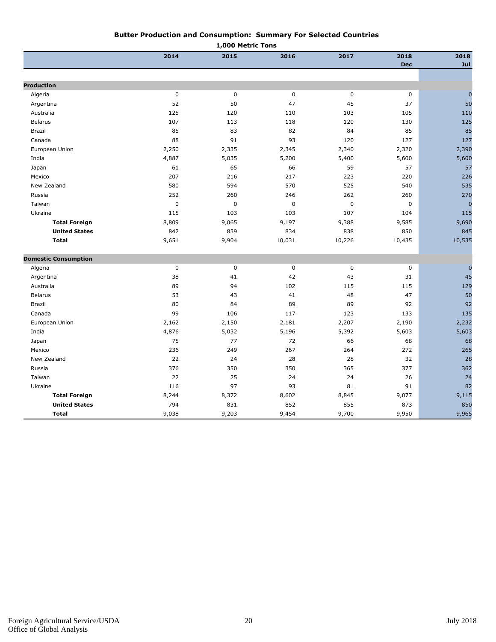#### **Butter Production and Consumption: Summary For Selected Countries 1,000 Metric Tons**

|                             |             | <b>I'm MELLIC TOUR</b> |           |             |             |                |
|-----------------------------|-------------|------------------------|-----------|-------------|-------------|----------------|
|                             | 2014        | 2015                   | 2016      | 2017        | 2018        | 2018           |
|                             |             |                        |           |             | <b>Dec</b>  | Jul            |
|                             |             |                        |           |             |             |                |
| <b>Production</b>           |             |                        |           |             |             |                |
| Algeria                     | $\mathbf 0$ | $\pmb{0}$              | 0         | $\mathbf 0$ | $\pmb{0}$   | $\overline{0}$ |
| Argentina                   | 52          | 50                     | 47        | 45          | 37          | 50             |
| Australia                   | 125         | 120                    | 110       | 103         | 105         | 110            |
| <b>Belarus</b>              | 107         | 113                    | 118       | 120         | 130         | 125            |
| Brazil                      | 85          | 83                     | 82        | 84          | 85          | 85             |
| Canada                      | 88          | 91                     | 93        | 120         | 127         | 127            |
| European Union              | 2,250       | 2,335                  | 2,345     | 2,340       | 2,320       | 2,390          |
| India                       | 4,887       | 5,035                  | 5,200     | 5,400       | 5,600       | 5,600          |
| Japan                       | 61          | 65                     | 66        | 59          | 57          | 57             |
| Mexico                      | 207         | 216                    | 217       | 223         | 220         | 226            |
| New Zealand                 | 580         | 594                    | 570       | 525         | 540         | 535            |
| Russia                      | 252         | 260                    | 246       | 262         | 260         | 270            |
| Taiwan                      | $\mathbf 0$ | $\pmb{0}$              | 0         | $\mathbf 0$ | $\mathbf 0$ | $\mathbf{0}$   |
| Ukraine                     | 115         | 103                    | 103       | 107         | 104         | 115            |
| <b>Total Foreign</b>        | 8,809       | 9,065                  | 9,197     | 9,388       | 9,585       | 9,690          |
| <b>United States</b>        | 842         | 839                    | 834       | 838         | 850         | 845            |
| <b>Total</b>                | 9,651       | 9,904                  | 10,031    | 10,226      | 10,435      | 10,535         |
| <b>Domestic Consumption</b> |             |                        |           |             |             |                |
| Algeria                     | $\pmb{0}$   | $\pmb{0}$              | $\pmb{0}$ | $\mathbf 0$ | 0           | $\overline{0}$ |
| Argentina                   | 38          | 41                     | 42        | 43          | 31          | 45             |
| Australia                   | 89          | 94                     | 102       | 115         | 115         | 129            |
| <b>Belarus</b>              | 53          | 43                     | 41        | 48          | 47          | 50             |
| Brazil                      | 80          | 84                     | 89        | 89          | 92          | 92             |
| Canada                      | 99          | 106                    | 117       | 123         | 133         | 135            |
| European Union              | 2,162       | 2,150                  | 2,181     | 2,207       | 2,190       | 2,232          |
| India                       | 4,876       | 5,032                  | 5,196     | 5,392       | 5,603       | 5,603          |
| Japan                       | 75          | 77                     | 72        | 66          | 68          | 68             |
| Mexico                      | 236         | 249                    | 267       | 264         | 272         | 265            |
| New Zealand                 | 22          | 24                     | 28        | 28          | 32          | 28             |
| Russia                      | 376         | 350                    | 350       | 365         | 377         | 362            |
| Taiwan                      | 22          | 25                     | 24        | 24          | 26          | 24             |
| Ukraine                     | 116         | 97                     | 93        | 81          | 91          | 82             |
| <b>Total Foreign</b>        | 8,244       | 8,372                  | 8,602     | 8,845       | 9,077       | 9,115          |
| <b>United States</b>        | 794         | 831                    | 852       | 855         | 873         | 850            |
| <b>Total</b>                | 9,038       | 9,203                  | 9,454     | 9,700       | 9,950       | 9,965          |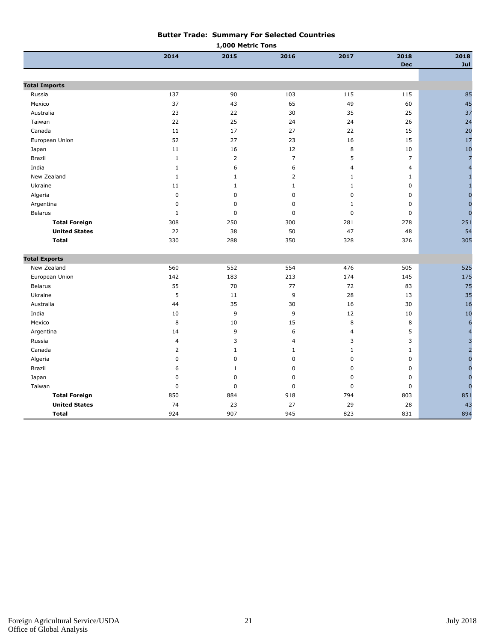| <b>Butter Trade: Summary For Selected Countries</b> |  |  |  |
|-----------------------------------------------------|--|--|--|
|-----------------------------------------------------|--|--|--|

| 1,000 Metric Tons              |                |                |                |              |                    |                          |
|--------------------------------|----------------|----------------|----------------|--------------|--------------------|--------------------------|
|                                | 2014           | 2015           | 2016           | 2017         | 2018<br><b>Dec</b> | 2018<br>Jul              |
|                                |                |                |                |              |                    |                          |
| <b>Total Imports</b><br>Russia | 137            | 90             | 103            | 115          | 115                | 85                       |
| Mexico                         | 37             | 43             | 65             | 49           | 60                 | 45                       |
| Australia                      | 23             | 22             | 30             | 35           | 25                 | 37                       |
| Taiwan                         | 22             | 25             | 24             | 24           | 26                 | 24                       |
| Canada                         | 11             | 17             | 27             | 22           | 15                 | 20                       |
| European Union                 | 52             | 27             | 23             | 16           | 15                 | 17                       |
| Japan                          | 11             | 16             | 12             | 8            | 10                 | 10                       |
| Brazil                         | $\mathbf 1$    | $\overline{2}$ | $\overline{7}$ | 5            | $\overline{7}$     | $\overline{7}$           |
| India                          | $\mathbf{1}$   | 6              | 6              | 4            | $\overline{a}$     | $\overline{4}$           |
| New Zealand                    | $\mathbf{1}$   | $\mathbf{1}$   | 2              | $\mathbf{1}$ | $\mathbf{1}$       | $\mathbf{1}$             |
| Ukraine                        | 11             | $\mathbf{1}$   | $\mathbf{1}$   | $\mathbf 1$  | $\mathbf 0$        | $\mathbf{1}$             |
| Algeria                        | $\pmb{0}$      | $\mathbf 0$    | $\mathbf 0$    | $\mathbf 0$  | $\pmb{0}$          | $\overline{0}$           |
| Argentina                      | $\mathbf 0$    | $\pmb{0}$      | $\mathbf 0$    | $\mathbf 1$  | $\mathbf 0$        | $\mathbf{0}$             |
| <b>Belarus</b>                 | $\mathbf{1}$   | $\mathbf 0$    | $\pmb{0}$      | $\mathbf 0$  | $\pmb{0}$          | $\mathbf 0$              |
| <b>Total Foreign</b>           | 308            | 250            | 300            | 281          | 278                | 251                      |
| <b>United States</b>           | 22             | 38             | 50             | 47           | 48                 | 54                       |
| <b>Total</b>                   | 330            | 288            | 350            | 328          | 326                | 305                      |
| <b>Total Exports</b>           |                |                |                |              |                    |                          |
| New Zealand                    | 560            | 552            | 554            | 476          | 505                | 525                      |
| European Union                 | 142            | 183            | 213            | 174          | 145                | 175                      |
| <b>Belarus</b>                 | 55             | 70             | 77             | 72           | 83                 | 75                       |
| Ukraine                        | 5              | 11             | 9              | 28           | 13                 | 35                       |
| Australia                      | 44             | 35             | 30             | 16           | 30                 | 16                       |
| India                          | 10             | 9              | 9              | 12           | 10                 | 10                       |
| Mexico                         | 8              | 10             | 15             | 8            | 8                  | $\boldsymbol{6}$         |
| Argentina                      | 14             | 9              | 6              | 4            | 5                  | $\overline{\mathcal{L}}$ |
| Russia                         | $\overline{4}$ | 3              | 4              | 3            | 3                  | $\overline{3}$           |
| Canada                         | $\overline{2}$ | $1\,$          | $\mathbf{1}$   | $\mathbf 1$  | $\mathbf{1}$       | $\overline{a}$           |
| Algeria                        | $\mathbf 0$    | $\mathbf 0$    | $\mathbf 0$    | $\mathbf 0$  | $\mathbf 0$        | $\mathbf{0}$             |
| Brazil                         | 6              | $1\,$          | $\mathbf 0$    | $\mathbf 0$  | $\mathbf 0$        | $\mathbf 0$              |
| Japan                          | $\pmb{0}$      | $\pmb{0}$      | $\pmb{0}$      | $\pmb{0}$    | $\pmb{0}$          | $\mathbf 0$              |
| Taiwan                         | $\mathbf 0$    | $\mathbf 0$    | $\pmb{0}$      | 0            | 0                  | $\mathbf 0$              |
| <b>Total Foreign</b>           | 850            | 884            | 918            | 794          | 803                | 851                      |
| <b>United States</b>           | 74             | 23             | 27             | 29           | 28                 | 43                       |
| <b>Total</b>                   | 924            | 907            | 945            | 823          | 831                | 894                      |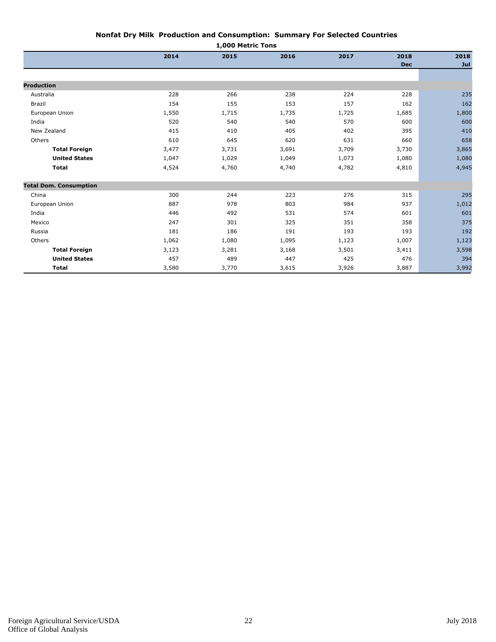#### **Nonfat Dry Milk Production and Consumption: Summary For Selected Countries**

| 1,000 Metric Tons             |       |       |       |       |            |       |
|-------------------------------|-------|-------|-------|-------|------------|-------|
|                               | 2014  | 2015  | 2016  | 2017  | 2018       | 2018  |
|                               |       |       |       |       | <b>Dec</b> | Jul   |
|                               |       |       |       |       |            |       |
| <b>Production</b>             |       |       |       |       |            |       |
| Australia                     | 228   | 266   | 238   | 224   | 228        | 235   |
| Brazil                        | 154   | 155   | 153   | 157   | 162        | 162   |
| European Union                | 1,550 | 1,715 | 1,735 | 1,725 | 1,685      | 1,800 |
| India                         | 520   | 540   | 540   | 570   | 600        | 600   |
| New Zealand                   | 415   | 410   | 405   | 402   | 395        | 410   |
| Others                        | 610   | 645   | 620   | 631   | 660        | 658   |
| <b>Total Foreign</b>          | 3,477 | 3,731 | 3,691 | 3,709 | 3,730      | 3,865 |
| <b>United States</b>          | 1,047 | 1,029 | 1,049 | 1,073 | 1,080      | 1,080 |
| <b>Total</b>                  | 4,524 | 4,760 | 4,740 | 4,782 | 4,810      | 4,945 |
| <b>Total Dom. Consumption</b> |       |       |       |       |            |       |
| China                         | 300   | 244   | 223   | 276   | 315        | 295   |
| European Union                | 887   | 978   | 803   | 984   | 937        | 1,012 |
| India                         | 446   | 492   | 531   | 574   | 601        | 601   |
| Mexico                        | 247   | 301   | 325   | 351   | 358        | 375   |
| Russia                        | 181   | 186   | 191   | 193   | 193        | 192   |
| Others                        | 1,062 | 1,080 | 1,095 | 1,123 | 1,007      | 1,123 |
| <b>Total Foreign</b>          | 3,123 | 3,281 | 3,168 | 3,501 | 3,411      | 3,598 |
| <b>United States</b>          | 457   | 489   | 447   | 425   | 476        | 394   |
| <b>Total</b>                  | 3,580 | 3,770 | 3,615 | 3,926 | 3,887      | 3,992 |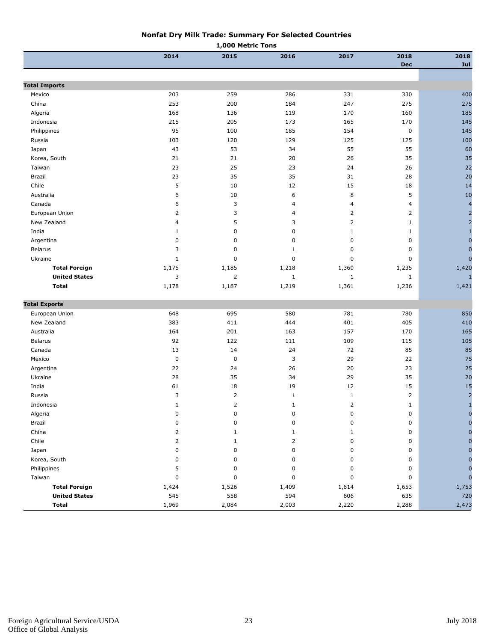#### **Nonfat Dry Milk Trade: Summary For Selected Countries**

|                      |                | 1,000 Metric Tons |                         |                |                    |                                            |
|----------------------|----------------|-------------------|-------------------------|----------------|--------------------|--------------------------------------------|
|                      | 2014           | 2015              | 2016                    | 2017           | 2018<br><b>Dec</b> | 2018<br>Jul                                |
|                      |                |                   |                         |                |                    |                                            |
| <b>Total Imports</b> |                |                   |                         |                |                    |                                            |
| Mexico               | 203            | 259               | 286                     | 331            | 330                | 400                                        |
| China                | 253            | 200               | 184                     | 247            | 275                | 275                                        |
| Algeria              | 168            | 136               | 119                     | 170            | 160                | 185                                        |
| Indonesia            | 215            | 205               | 173                     | 165            | 170                | 145                                        |
| Philippines          | 95             | 100               | 185                     | 154            | $\pmb{0}$          | 145                                        |
| Russia               | 103            | 120               | 129                     | 125            | 125                | 100                                        |
| Japan                | 43             | 53                | 34                      | 55             | 55                 | 60                                         |
| Korea, South         | 21             | 21                | 20                      | 26             | 35                 | 35                                         |
| Taiwan               | 23             | 25                | 23                      | 24             | 26                 | 22                                         |
| Brazil               | 23             | 35                | 35                      | 31             | 28                 | 20                                         |
| Chile                | 5              | 10                | 12                      | 15             | 18                 | 14                                         |
| Australia            | 6              | 10                | 6                       | 8              | 5                  | 10                                         |
| Canada               | 6              | 3                 | $\overline{4}$          | $\overline{4}$ | 4                  | $\overline{\mathbf{r}}$                    |
| European Union       | $\overline{2}$ | 3                 | $\overline{\mathbf{4}}$ | $\overline{2}$ | $\overline{2}$     |                                            |
| New Zealand          | $\overline{4}$ | 5                 | 3                       | $\overline{2}$ | $\mathbf{1}$       | $\begin{array}{c} 2 \\ 2 \\ 1 \end{array}$ |
| India                | $\mathbf{1}$   | $\pmb{0}$         | 0                       | $\mathbf{1}$   | 1                  |                                            |
| Argentina            | $\mathbf 0$    | 0                 | 0                       | $\mathbf 0$    | 0                  | $\mathbf 0$                                |
| <b>Belarus</b>       | 3              | $\mathbf 0$       | 1                       | $\pmb{0}$      | 0                  | $\mathbf 0$                                |
| Ukraine              | $\mathbf{1}$   | $\mathbf 0$       | 0                       | $\mathbf 0$    | 0                  | $\mathbf 0$                                |
| <b>Total Foreign</b> | 1,175          | 1,185             | 1,218                   | 1,360          | 1,235              | 1,420                                      |
| <b>United States</b> | 3              | $\overline{2}$    | $\mathbf{1}$            | $\mathbf{1}$   | $\mathbf{1}$       | -1                                         |
| <b>Total</b>         | 1,178          | 1,187             | 1,219                   | 1,361          | 1,236              | 1,421                                      |
| <b>Total Exports</b> |                |                   |                         |                |                    |                                            |
| European Union       | 648            | 695               | 580                     | 781            | 780                | 850                                        |
| New Zealand          | 383            | 411               | 444                     | 401            | 405                | 410                                        |
| Australia            | 164            | 201               | 163                     | 157            | 170                | 165                                        |
| <b>Belarus</b>       | 92             | 122               | 111                     | 109            | 115                | 105                                        |
| Canada               | 13             | 14                | 24                      | 72             | 85                 | 85                                         |
| Mexico               | $\mathsf 0$    | $\pmb{0}$         | 3                       | 29             | 22                 | 75                                         |
| Argentina            | 22             | 24                | 26                      | 20             | 23                 | 25                                         |
| Ukraine              | 28             | 35                | 34                      | 29             | 35                 | 20                                         |
| India                | 61             | 18                | 19                      | 12             | 15                 | 15                                         |
| Russia               | 3              | $\overline{2}$    | $\mathbf 1$             | $\mathbf{1}$   | $\overline{2}$     | $\overline{2}$                             |
| Indonesia            | $\mathbf{1}$   | 2                 | $\mathbf{1}$            | 2              | 1                  | $\mathbf{1}$                               |
| Algeria              | $\pmb{0}$      | 0                 | $\pmb{0}$               | $\pmb{0}$      | $\pmb{0}$          |                                            |
| Brazil               | $\pmb{0}$      | 0                 | 0                       | $\pmb{0}$      | 0                  | $\Omega$                                   |
| China                | $\overline{2}$ | $\mathbf{1}$      | $\mathbf 1$             | $\mathbf{1}$   | 0                  | $\overline{0}$                             |
| Chile                | $\overline{2}$ | $\mathbf{1}$      | $\overline{2}$          | 0              | 0                  | $\Omega$                                   |
| Japan                | $\pmb{0}$      | $\pmb{0}$         | 0                       | $\pmb{0}$      | 0                  | $\Omega$                                   |
| Korea, South         | $\mathbf 0$    | 0                 | 0                       | 0              | 0                  | $\overline{0}$                             |
| Philippines          | 5              | $\mathbf 0$       | 0                       | $\mathbf 0$    | 0                  | $\mathbf{0}$                               |
| Taiwan               | $\mathbf 0$    | $\mathbf 0$       | 0                       | $\mathbf 0$    | 0                  | $\mathbf{0}$                               |
| <b>Total Foreign</b> | 1,424          | 1,526             | 1,409                   | 1,614          | 1,653              | 1,753                                      |
| <b>United States</b> | 545            | 558               | 594                     | 606            | 635                | 720                                        |
| <b>Total</b>         | 1,969          | 2,084             | 2,003                   | 2,220          | 2,288              | 2,473                                      |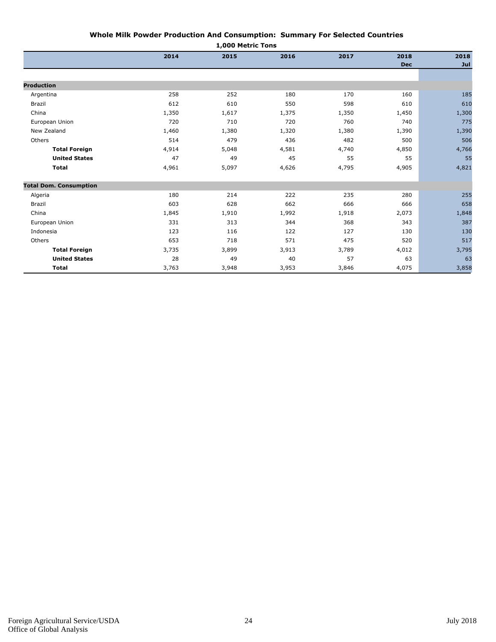| 1,000 Metric Tons             |       |       |       |       |            |       |
|-------------------------------|-------|-------|-------|-------|------------|-------|
|                               | 2014  | 2015  | 2016  | 2017  | 2018       | 2018  |
|                               |       |       |       |       | <b>Dec</b> | Jul   |
|                               |       |       |       |       |            |       |
| <b>Production</b>             |       |       |       |       |            |       |
| Argentina                     | 258   | 252   | 180   | 170   | 160        | 185   |
| Brazil                        | 612   | 610   | 550   | 598   | 610        | 610   |
| China                         | 1,350 | 1,617 | 1,375 | 1,350 | 1,450      | 1,300 |
| European Union                | 720   | 710   | 720   | 760   | 740        | 775   |
| New Zealand                   | 1,460 | 1,380 | 1,320 | 1,380 | 1,390      | 1,390 |
| Others                        | 514   | 479   | 436   | 482   | 500        | 506   |
| <b>Total Foreign</b>          | 4,914 | 5,048 | 4,581 | 4,740 | 4,850      | 4,766 |
| <b>United States</b>          | 47    | 49    | 45    | 55    | 55         | 55    |
| <b>Total</b>                  | 4,961 | 5,097 | 4,626 | 4,795 | 4,905      | 4,821 |
| <b>Total Dom. Consumption</b> |       |       |       |       |            |       |
| Algeria                       | 180   | 214   | 222   | 235   | 280        | 255   |
| Brazil                        | 603   | 628   | 662   | 666   | 666        | 658   |
| China                         | 1,845 | 1,910 | 1,992 | 1,918 | 2,073      | 1,848 |
| European Union                | 331   | 313   | 344   | 368   | 343        | 387   |
| Indonesia                     | 123   | 116   | 122   | 127   | 130        | 130   |
| Others                        | 653   | 718   | 571   | 475   | 520        | 517   |
| <b>Total Foreign</b>          | 3,735 | 3,899 | 3,913 | 3,789 | 4,012      | 3,795 |
| <b>United States</b>          | 28    | 49    | 40    | 57    | 63         | 63    |
| <b>Total</b>                  | 3,763 | 3,948 | 3,953 | 3,846 | 4,075      | 3,858 |

## **Whole Milk Powder Production And Consumption: Summary For Selected Countries**